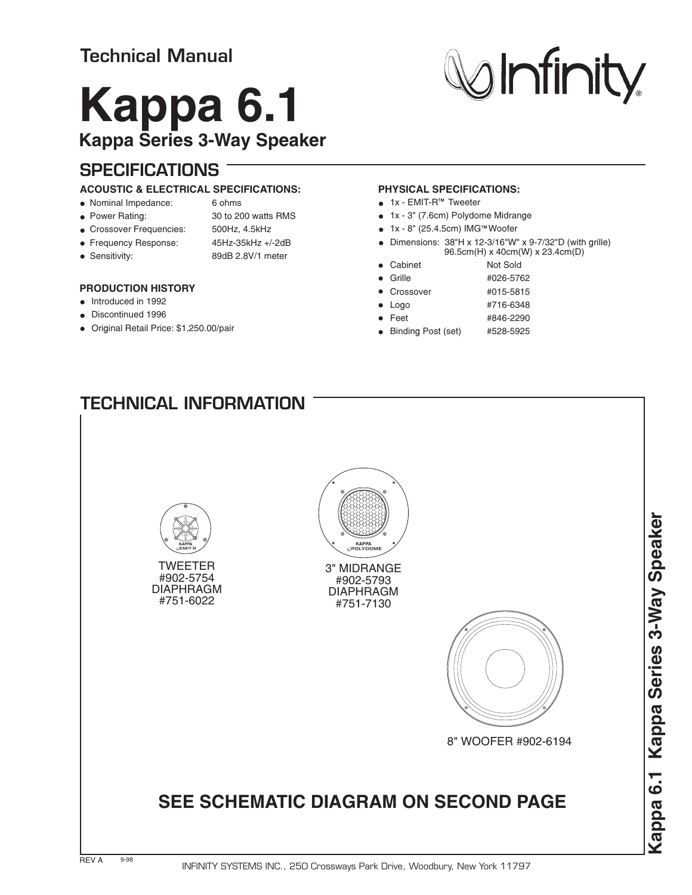# **Technical Manual**

# **Kappa 6.1 Kappa Series 3-Way Speaker**

## **SPECIFICATIONS**

### **ACOUSTIC & ELECTRICAL SPECIFICATIONS:**

#### Nominal Impedance: 6 ohms

- 
- Power Rating: 30 to 200 watts RMS
- Crossover Frequencies: 500Hz, 4.5kHz
- Frequency Response: 45Hz-35kHz +/-2dB
- 

## Sensitivity: 89dB 2.8V/1 meter

## **PRODUCTION HISTORY**

- Introduced in 1992
- Discontinued 1996
- Original Retail Price: \$1,250.00/pair

## **PHYSICAL SPECIFICATIONS:**

- $\bullet$  1x EMIT-R<sup> $M$ </sup> Tweeter
- 1x 3" (7.6cm) Polydome Midrange
- $\bullet$  1x 8" (25.4.5cm) IMG<sup>™</sup> Woofer
- $\bullet$  Dimensions: 38"H x 12-3/16"W" x 9-7/32"D (with grille) 96.5cm(H) x 40cm(W) x 23.4cm(D)
- Cabinet Not Sold
- Grille #026-5762
- Crossover #015-5815
- Logo #716-6348
- Feet #846-2290
- Binding Post (set) #528-5925

# **TECHNICAL INFORMATION**



#751-6022



3" MIDRANGE #902-5793 DIAPHRAGM #751-7130



8" WOOFER #902-6194

# **SEE SCHEMATIC DIAGRAM ON SECOND PAGE**



**Minity**